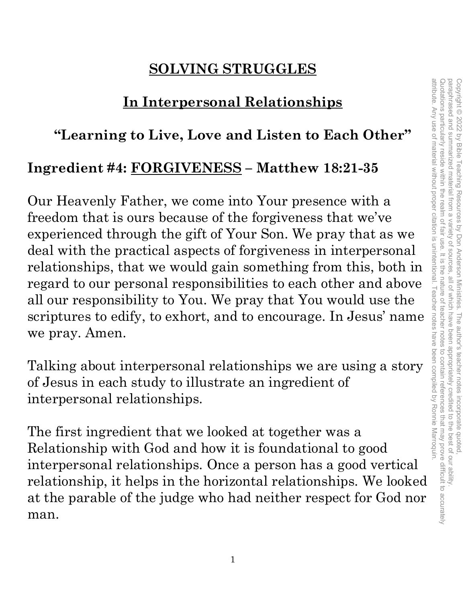## **SOLVING STRUGGLES**

## **In Interpersonal Relationships**

#### **"Learning to Live, Love and Listen to Each Other"**

#### **Ingredient #4: FORGIVENESS – Matthew 18:21-35**

Our Heavenly Father, we come into Your presence with a freedom that is ours because of the forgiveness that we've experienced through the gift of Your Son. We pray that as we deal with the practical aspects of forgiveness in interpersonal relationships, that we would gain something from this, both in regard to our personal responsibilities to each other and above all our responsibility to You. We pray that You would use the scriptures to edify, to exhort, and to encourage. In Jesus' name we pray. Amen.

Talking about interpersonal relationships we are using a story of Jesus in each study to illustrate an ingredient of interpersonal relationships.

The first ingredient that we looked at together was a Relationship with God and how it is foundational to good interpersonal relationships. Once a person has a good vertical relationship, it helps in the horizontal relationships. We looked at the parable of the judge who had neither respect for God nor man.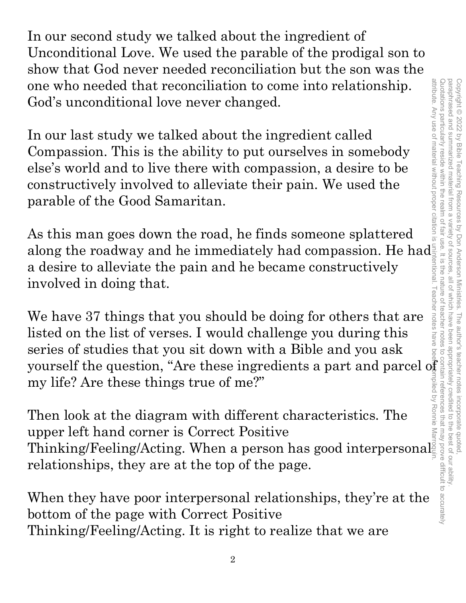In our second study we talked about the ingredient of Unconditional Love. We used the parable of the prodigal son to show that God never needed reconciliation but the son was the one who needed that reconciliation to come into relationship. God's unconditional love never changed.

In our last study we talked about the ingredient called Compassion. This is the ability to put ourselves in somebody else's world and to live there with compassion, a desire to be constructively involved to alleviate their pain. We used the parable of the Good Samaritan.

As this man goes down the road, he finds someone splattered along the roadway and he immediately had compassion. He had a desire to alleviate the pain and he became constructively involved in doing that.

We have 37 things that you should be doing for others that are listed on the list of verses. I would challenge you during this series of studies that you sit down with a Bible and you ask yourself the question, "Are these ingredients a part and parcel of my life? Are these things true of me?"

Then look at the diagram with different characteristics. The upper left hand corner is Correct Positive upper left hand corner is Correct Positive<br>Thinking/Feeling/Acting. When a person has good interpersonal relationships, they are at the top of the page.

When they have poor interpersonal relationships, they're at the bottom of the page with Correct Positive Thinking/Feeling/Acting. It is right to realize that we are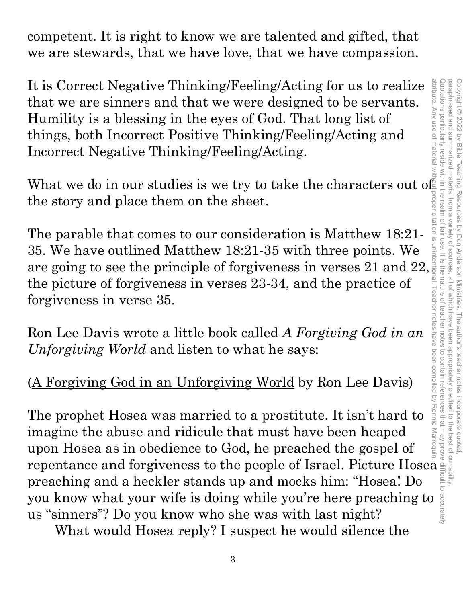competent. It is right to know we are talented and gifted, that we are stewards, that we have love, that we have compassion.

It is Correct Negative Thinking/Feeling/Acting for us to realize that we are sinners and that we were designed to be servants. Humility is a blessing in the eyes of God. That long list of things, both Incorrect Positive Thinking/Feeling/Acting and Incorrect Negative Thinking/Feeling/Acting.

What we do in our studies is we try to take the characters out of the story and place them on the sheet.

The parable that comes to our consideration is Matthew 18:21- 35. We have outlined Matthew 18:21-35 with three points. We are going to see the principle of forgiveness in verses 21 and 22, the picture of forgiveness in verses 23-34, and the practice of forgiveness in verse 35.

Ron Lee Davis wrote a little book called *A Forgiving God in an Unforgiving World* and listen to what he says:

## (A Forgiving God in an Unforgiving World by Ron Lee Davis)

The prophet Hosea was married to a prostitute. It isn't hard to imagine the abuse and ridicule that must have been heaped upon Hosea as in obedience to God, he preached the gospel of repentance and forgiveness to the people of Israel. Picture Hosea preaching and a heckler stands up and mocks him: "Hosea! Do It is Correct Negative Thinking/Feeling/Acting for us to realize<br>
that we are sinners and that we wore designed to be servants.<br>
Humility is a blessing in the eyes of God. That long list of<br>
things, both Incorrect Positiv us "sinners"? Do you know who she was with last night? attribute. Any use of material without proper citation is unintentional. Teacher notes have been compiled by Ronnie Marroquin.

What would Hosea reply? I suspect he would silence the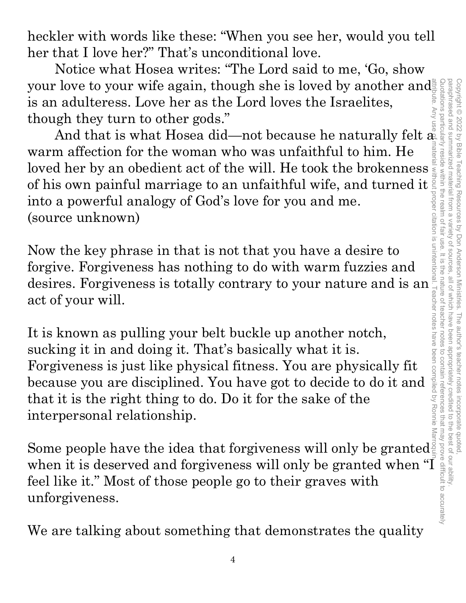attribute. Any use of material without proper citation is unintentional. Teacher notes have been compiled by Ronnie Marroquin.Quotations particularly reside within the realm of fair use. It is the nature of teacher notes to contain references that may prove difficult to accurately paraphrased and summarized material from a paraphrased and summarized material from a variety of sources, all of which have been appropriately credited to the best of our ability. Copyright @ 2022 by Bible Copyright © 2022 by Bible Teaching Resources by Don Anderson Ministries. The author's teacher notes incorporate quoted, **Teaching Resources** variety of bon Anderson Ministries. The author's teacher notes incorporate quoted,<br>ariety of sources, all of which have been appropriately credited to the best of our ability.

heckler with words like these: "When you see her, would you tell her that I love her?" That's unconditional love.

Notice what Hosea writes: "The Lord said to me, 'Go, show your love to your wife again, though she is loved by another and is an adulteress. Love her as the Lord loves the Israelites, though they turn to other gods."

And that is what Hosea did—not because he naturally felt  $\frac{1}{2}$ warm affection for the woman who was unfaithful to him. He loved her by an obedient act of the will. He took the brokenness of his own painful marriage to an unfaithful wife, and turned it into a powerful analogy of God's love for you and me. (source unknown)

Now the key phrase in that is not that you have a desire to forgive. Forgiveness has nothing to do with warm fuzzies and desires. Forgiveness is totally contrary to your nature and is an act of your will.

It is known as pulling your belt buckle up another notch, sucking it in and doing it. That's basically what it is. Forgiveness is just like physical fitness. You are physically fit because you are disciplined. You have got to decide to do it and that it is the right thing to do. Do it for the sake of the interpersonal relationship.

Some people have the idea that forgiveness will only be granted when it is deserved and forgiveness will only be granted when "I feel like it." Most of those people go to their graves with unforgiveness.

We are talking about something that demonstrates the quality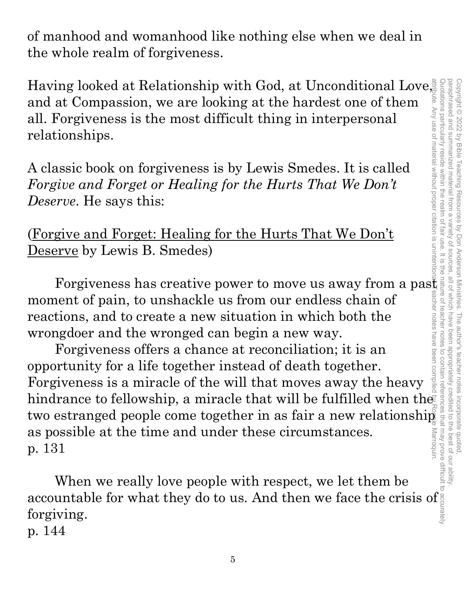of manhood and womanhood like nothing else when we deal in the whole realm of forgiveness.

Having looked at Relationship with God, at Unconditional Love, and at Compassion, we are looking at the hardest one of them all. Forgiveness is the most difficult thing in interpersonal relationships.

A classic book on forgiveness is by Lewis Smedes. It is called *Forgive and Forget or Healing for the Hurts That We Don't Deserve*. He says this:

(Forgive and Forget: Healing for the Hurts That We Don't Deserve by Lewis B. Smedes)

Forgiveness has creative power to move us away from a past moment of pain, to unshackle us from our endless chain of reactions, and to create a new situation in which both the wrongdoer and the wronged can begin a new way.

Copyright © 2022 by Bible Teaching Resources by Don Anderson Ministries. The author's teacher notes incorporate quoted,

Copyright © 2022 by Bible Teaching Resources by Don Anderson Ministries. The author's teacher notes incorporate quoted

paraphrased and summarized material from a variety of sources, all of which have been appropriately credited to the best of our ability.

all of which have been appropriately credited to the best of our ability

variety of sources

paraphrased and summarized material from a

Forgiveness offers a chance at reconciliation; it is an opportunity for a life together instead of death together. Forgiveness is a miracle of the will that moves away the heavy hindrance to fellowship, a miracle that will be fulfilled when the two estranged people come together in as fair a new relationship as possible at the time and under these circumstances. p. 131 attribute. Any use of material without proper citation is unintentional. Teacher notes have been compiled by Ronnie Marroquin.

When we really love people with respect, we let them be accountable for what they do to us. And then we face the crisis of forgiving. Quotations particularly reside within the realm of fair use. It is the nature of teacher notes to contain references that may prove difficult to accurately

p. 144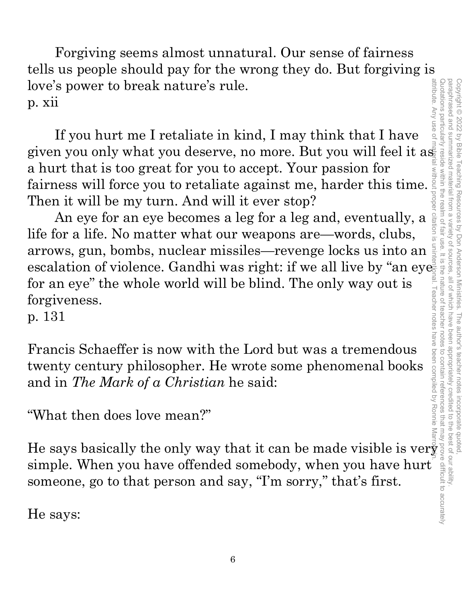attribute. Any use of Quotations particular paraphrased and attribute. Any use of material without proper citation is unintentional. Teacher notes have been compiled by Ronnie Marroquin.Quotations particularly reside within the realm of fair use. It is the nature of teacher notes to contain references that may prove difficult to accurately paraphrased and summarized material from a variety of sources, all of which have been appropriately credited to the best of our ability. Copyright © 2022 Copyright © 2022 by Bible Teaching Resources by Don Anderson Ministries. The author's teacher notes incorporate quoted, summarized material from a variety of by Bible Teaching Resources by Don Anderson Ministries. sentrces , all of which have beer Teacher notes have been compiled by Ronnie The author's teacher notes incorporate quotec appropriately credited to the best of our ability

Forgiving seems almost unnatural. Our sense of fairness tells us people should pay for the wrong they do. But forgiving is love's power to break nature's rule. p. xii

If you hurt me I retaliate in kind, I may think that I have a hurt that is too great for you to accept. Your passion for fairness will force you to retaliate against me, harder this time. Then it will be my turn. And will it ever stop?

given you only what you deserve, no more. But you will feel it as a hurt that is too great for you to accept. Your passion for fairness will force you to retaliate against me, harder this time. Then it will be my turn. An An eye for an eye becomes a leg for a leg and, eventually, a life for a life. No matter what our weapons are—words, clubs, arrows, gun, bombs, nuclear missiles—revenge locks us into an escalation of violence. Gandhi was right: if we all live by "an eye for an eye" the whole world will be blind. The only way out is forgiveness.

p. 131

Francis Schaeffer is now with the Lord but was a tremendous twenty century philosopher. He wrote some phenomenal books and in *The Mark of a Christian* he said:

"What then does love mean?"

He says basically the only way that it can be made visible is ver simple. When you have offended somebody, when you have hurt someone, go to that person and say, "I'm sorry," that's first.

He says: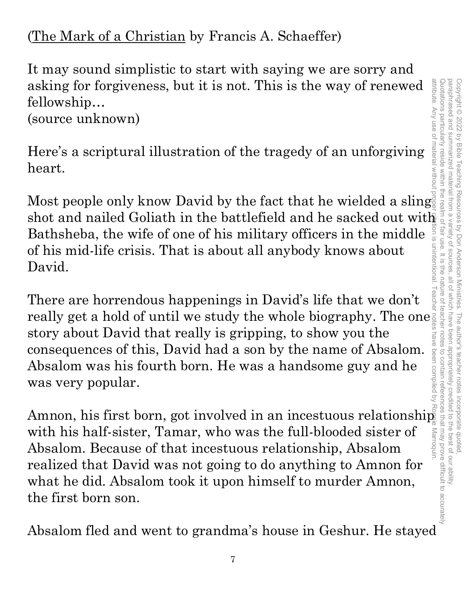(The Mark of a Christian by Francis A. Schaeffer)

It may sound simplistic to start with saying we are sorry and asking for forgiveness, but it is not. This is the way of renewed fellowship…

(source unknown)

Here's a scriptural illustration of the tragedy of an unforgiving heart.

Most people only know David by the fact that he wielded a sling ion is unintentional. Bathsheba, the wife of one of his military officers in the middle of his mid-life crisis. That is about all anybody knows about David.

There are horrendous happenings in David's life that we don't really get a hold of until we study the whole biography. The one story about David that really is gripping, to show you the consequences of this, David had a son by the name of Absalom. Absalom was his fourth born. He was a handsome guy and he was very popular.

shot and the battlefield and he sacked out the sacked out the fellowship...<br>
fellowship the care is a scriptural illustration of the tragedy of an unforgiving<br>
is a scriptural illustration of the tragedy of an unforgiving<br> Amnon, his first born, got involved in an incestuous relationship with his half-sister, Tamar, who was the full-blooded sister of Marroquir Absalom. Because of that incestuous relationship, Absalom realized that David was not going to do anything to Amnon for what he did. Absalom took it upon himself to murder Amnon, the first born son.

Absalom fled and went to grandma's house in Geshur. He stayed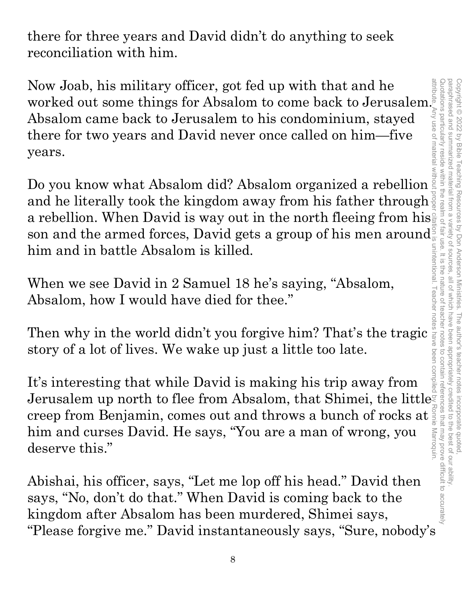there for three years and David didn't do anything to seek reconciliation with him.

Now Joab, his military officer, got fed up with that and he worked out some things for Absalom to come back to Jerusalem. Absalom came back to Jerusalem to his condominium, stayed there for two years and David never once called on him—five years.

Do you know what Absalom did? Absalom organized a rebellion and he literally took the kingdom away from his father through  $\frac{3}{8}$ a rebellion. When David is way out in the north fleeing from his. son and the armed forces, David gets a group of his men around. him and in battle Absalom is killed. attribute. Any use of material without proper citation is unintentional. Teacher notes have been compiled by Ronnie Marroquin.

When we see David in 2 Samuel 18 he's saying, "Absalom, Absalom, how I would have died for thee."

Then why in the world didn't you forgive him? That's the tragic story of a lot of lives. We wake up just a little too late.

It's interesting that while David is making his trip away from Jerusalem up north to flee from Absalom, that Shimei, the little creep from Benjamin, comes out and throws a bunch of rocks at  $\frac{3}{5}$  him and curses David. He says, "You are a man of wrong, you deserve this." him and curses David. He says, "You are a man of wrong, you deserve this."

Abishai, his officer, says, "Let me lop off his head." David then says, "No, don't do that." When David is coming back to the kingdom after Absalom has been murdered, Shimei says, "Please forgive me." David instantaneously says, "Sure, nobody's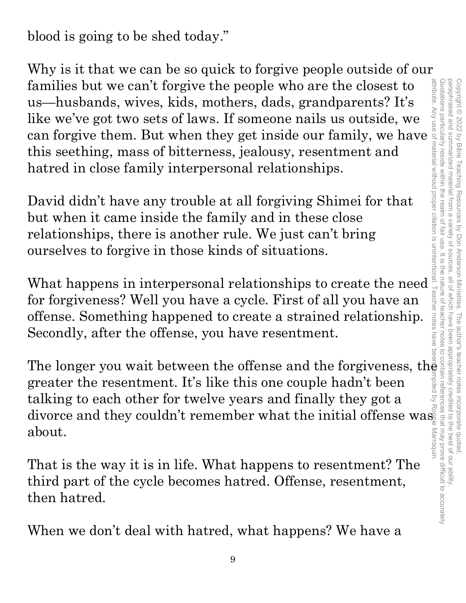blood is going to be shed today."

Why is it that we can be so quick to forgive people outside of our families but we can't forgive the people who are the closest to us—husbands, wives, kids, mothers, dads, grandparents? It's like we've got two sets of laws. If someone nails us outside, we can forgive them. But when they get inside our family, we have this seething, mass of bitterness, jealousy, resentment and hatred in close family interpersonal relationships.

David didn't have any trouble at all forgiving Shimei for that but when it came inside the family and in these close relationships, there is another rule. We just can't bring ourselves to forgive in those kinds of situations.

What happens in interpersonal relationships to create the need for forgiveness? Well you have a cycle. First of all you have an offense. Something happened to create a strained relationship. Secondly, after the offense, you have resentment.

The longer you wait between the offense and the forgiveness, the greater the resentment. It's like this one couple hadn't been talking to each other for twelve years and finally they got a divorce and they couldn't remember what the initial offense was about.

That is the way it is in life. What happens to resentment? The third part of the cycle becomes hatred. Offense, resentment, then hatred.

When we don't deal with hatred, what happens? We have a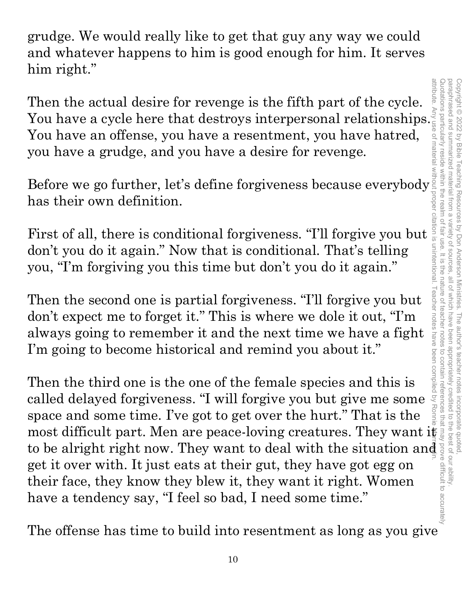grudge. We would really like to get that guy any way we could and whatever happens to him is good enough for him. It serves him right."

attribute Then the actual desire for revenge is the fifth part of the cycle. You have a cycle here that destroys interpersonal relationships.  $\frac{3}{5}$ <br>You have an offense, you have a resentment, you have hatred,<br>you have a grudge, and you have a desire for revenge. You have an offense, you have a resentment, you have hatred, you have a grudge, and you have a desire for revenge.

has their own definition.

Before we go further, let's define forgiveness because everybody<br>has their own definition.<br>First of all, there is conditional forgiveness. "I'll forgive you but  $\frac{1}{2}$ <br>don't you do it again." Now that is conditional. T First of all, there is conditional forgiveness. "I'll forgive you but don't you do it again." Now that is conditional. That's telling you, "I'm forgiving you this time but don't you do it again."

Then the second one is partial forgiveness. "I'll forgive you but don't expect me to forget it." This is where we dole it out, "I'm always going to remember it and the next time we have a fight I'm going to become historical and remind you about it."

Then the actual desire for revenge is the fifth part of the cycle.<br>You have a cycle here that destroys interpersonal relationships.<sup>27</sup><br>You have an offense, you have a resentment, you have hatred,<br>you have a grudge, and y attribute. Any use of material without proper citation is unintentional. Teacher notes have been compiled by Ronnie Marroquin.Teacher notes have been compiled Then the third one is the one of the female species and this is called delayed forgiveness. "I will forgive you but give me some space and some time. I've got to get over the hurt." That is the to be alright right now. They want to deal with the situation and get it over with. It just eats at their gut, they have got egg on their face, they know they blew it, they want it right. Women have a tendency say, "I feel so bad, I need some time."

The offense has time to build into resentment as long as you give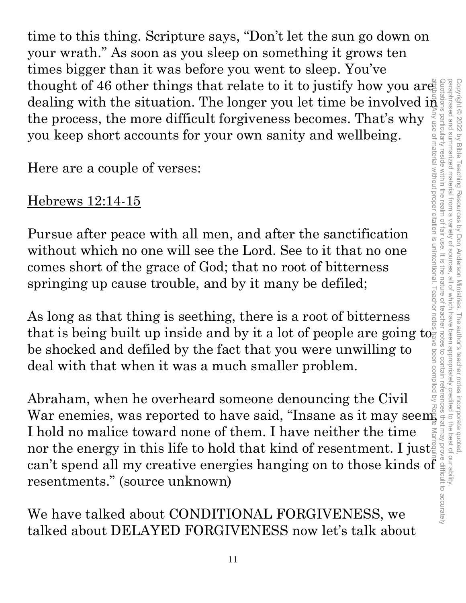time to this thing. Scripture says, "Don't let the sun go down on your wrath." As soon as you sleep on something it grows ten times bigger than it was before you went to sleep. You've thought of 46 other things that relate to it to justify how you are: dealing with the situation. The longer you let time be involved  $\mathrm{i}\bar{\bar{\mathfrak{n}}}$ the process, the more difficult forgiveness becomes. That's why you keep short accounts for your own sanity and wellbeing.

Here are a couple of verses:

## Hebrews 12:14-15

Pursue after peace with all men, and after the sanctification without which no one will see the Lord. See to it that no one comes short of the grace of God; that no root of bitterness springing up cause trouble, and by it many be defiled;

As long as that thing is seething, there is a root of bitterness that is being built up inside and by it a lot of people are going to. be shocked and defiled by the fact that you were unwilling to deal with that when it was a much smaller problem.

Abraham, when he overheard someone denouncing the Civil War enemies, was reported to have said, "Insane as it may seem, I hold no malice toward none of them. I have neither the time nor the energy in this life to hold that kind of resentment. I just can't spend all my creative energies hanging on to those kinds of resentments." (source unknown) Quotations particularly reside within the realm of fair use. It is the nature of teacher notes to contain references that may prove difficult to accurately attribute. Any use of material without proper citation is unintentional. Teacher notes have been compiled by Ronnie Marroquin.

We have talked about CONDITIONAL FORGIVENESS, we talked about DELAYED FORGIVENESS now let's talk about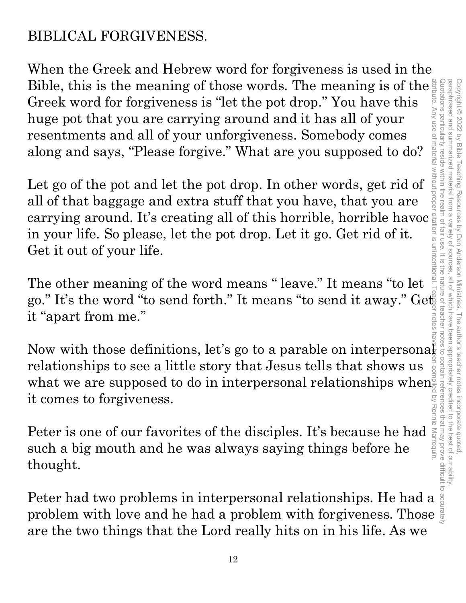## BIBLICAL FORGIVENESS.

When the Greek and Hebrew word for forgiveness is used in the Bible, this is the meaning of those words. The meaning is of the Greek word for forgiveness is "let the pot drop." You have this huge pot that you are carrying around and it has all of your resentments and all of your unforgiveness. Somebody comes along and says, "Please forgive." What are you supposed to do? attribute. Any use of material without proper citation is unintentional. Teacher notes have been compiled by Ronnie Marroquin.

Let go of the pot and let the pot drop. In other words, get rid of all of that baggage and extra stuff that you have, that you are carrying around. It's creating all of this horrible, horrible havoc in your life. So please, let the pot drop. Let it go. Get rid of it. Get it out of your life.

The other meaning of the word means " leave." It means "to let go." It's the word "to send forth." It means "to send it away." Get it "apart from me."

Now with those definitions, let's go to a parable on interpersonal relationships to see a little story that Jesus tells that shows us what we are supposed to do in interpersonal relationships when it comes to forgiveness.

Peter is one of our favorites of the disciples. It's because he had such a big mouth and he was always saying things before he thought.

Peter had two problems in interpersonal relationships. He had a problem with love and he had a problem with forgiveness. Those are the two things that the Lord really hits on in his life. As we

paraphrased and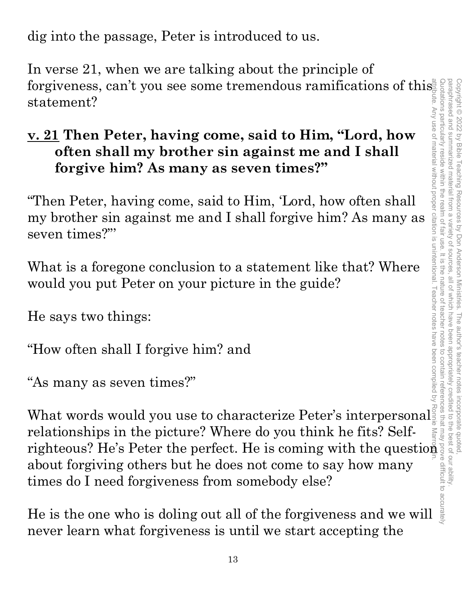dig into the passage, Peter is introduced to us.

In verse 21, when we are talking about the principle of forgiveness, can't you see some tremendous ramifications of this statement?

## **v. 21 Then Peter, having come, said to Him, "Lord, how often shall my brother sin against me and I shall forgive him? As many as seven times?"**

"Then Peter, having come, said to Him, 'Lord, how often shall my brother sin against me and I shall forgive him? As many as seven times?"'

What is a foregone conclusion to a statement like that? Where would you put Peter on your picture in the guide?

He says two things:

"How often shall I forgive him? and

"As many as seven times?"

What words would you use to characterize Peter's interpersonal relationships in the picture? Where do you think he fits? Selfrighteous? He's Peter the perfect. He is coming with the question about forgiving others but he does not come to say how many times do I need forgiveness from somebody else? attribute. Any use of material without proper citation is unintentional. Teacher notes have been compiled by Ronnie Marroquin.

He is the one who is doling out all of the forgiveness and we will never learn what forgiveness is until we start accepting the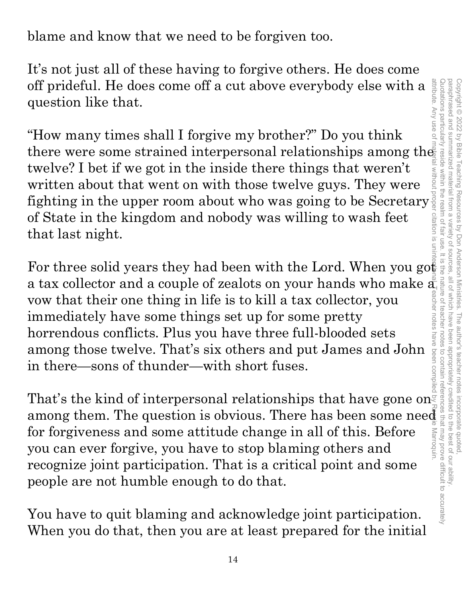blame and know that we need to be forgiven too.

It's not just all of these having to forgive others. He does come off prideful. He does come off a cut above everybody else with a question like that.

"How many times shall I forgive my brother?" Do you think there were some strained interpersonal relationships among the twelve? I bet if we got in the inside there things that weren't written about that went on with those twelve guys. They were fighting in the upper room about who was going to be Secretary  $\frac{1}{2}$ of State in the kingdom and nobody was willing to wash feet that last night.

For three solid years they had been with the Lord. When you got a tax collector and a couple of zealots on your hands who make a<br>
vow that their one thing in life is to kill a tax collector, you<br>
immediately have some things set up for some pretty<br>
horrendous conflicts. Plus you have vow that their one thing in life is to kill a tax collector, you immediately have some things set up for some pretty horrendous conflicts. Plus you have three full-blooded sets among those twelve. That's six others and put James and John in there—sons of thunder—with short fuses.

That's the kind of interpersonal relationships that have gone on among them. The question is obvious. There has been some need for forgiveness and some attitude change in all of this. Before Marroquin you can ever forgive, you have to stop blaming others and recognize joint participation. That is a critical point and some people are not humble enough to do that.

You have to quit blaming and acknowledge joint participation. When you do that, then you are at least prepared for the initial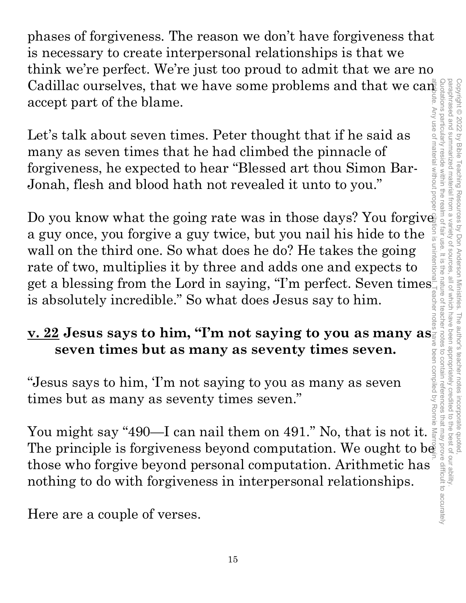phases of forgiveness. The reason we don't have forgiveness that is necessary to create interpersonal relationships is that we think we're perfect. We're just too proud to admit that we are no accept part of the blame.

Let's talk about seven times. Peter thought that if he said as many as seven times that he had climbed the pinnacle of forgiveness, he expected to hear "Blessed art thou Simon Bar-Jonah, flesh and blood hath not revealed it unto to you."

Cadillac ourselves, that we have some problems and that we can<br>accept part of the blame.<br>Let's talk about seven times. Peter thought that if he said as<br>many as seven times that he had climbed the pinnacle of<br>forgivences, Do you know what the going rate was in those days? You forgive a guy once, you forgive a guy twice, but you nail his hide to the wall on the third one. So what does he do? He takes the going rate of two, multiplies it by three and adds one and expects to get a blessing from the Lord in saying, "I'm perfect. Seven times is absolutely incredible." So what does Jesus say to him.

## **v. 22 Jesus says to him, "I'm not saying to you as many as seven times but as many as seventy times seven.**

"Jesus says to him, 'I'm not saying to you as many as seven times but as many as seventy times seven."

You might say "490—I can nail them on 491." No, that is not it. The principle is forgiveness beyond computation. We ought to be those who forgive beyond personal computation. Arithmetic has nothing to do with forgiveness in interpersonal relationships.

Here are a couple of verses.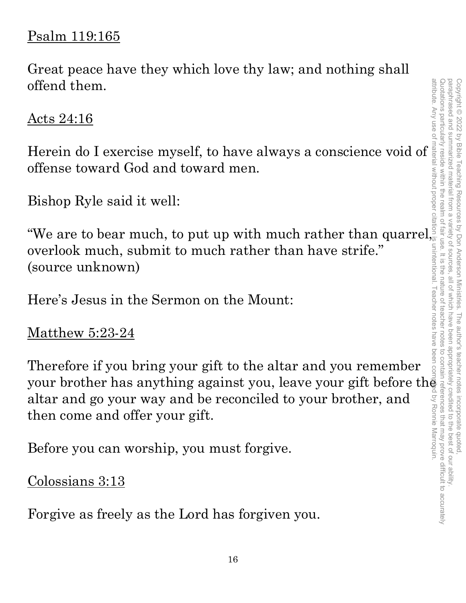#### Psalm 119:165

Great peace have they which love thy law; and nothing shall offend them.

Acts 24:16

Herein do I exercise myself, to have always a conscience void of offense toward God and toward men.

Bishop Ryle said it well:

We are to bear much, to put up with much rather than quarrel, overlook much, submit to much rather than have strife." (source unknown)

Here's Jesus in the Sermon on the Mount:

Matthew 5:23-24

Therefore if you bring your gift to the altar and you remember your brother has anything against you, leave your gift before th $\bar{\bar{\mathbf{e}}}$ altar and go your way and be reconciled to your brother, and then come and offer your gift. attribute. Any use of material without proper citation is unintentional. Teacher notes have been compiled by Ronnie Marroquin.

Before you can worship, you must forgive.

Colossians 3:13

Forgive as freely as the Lord has forgiven you.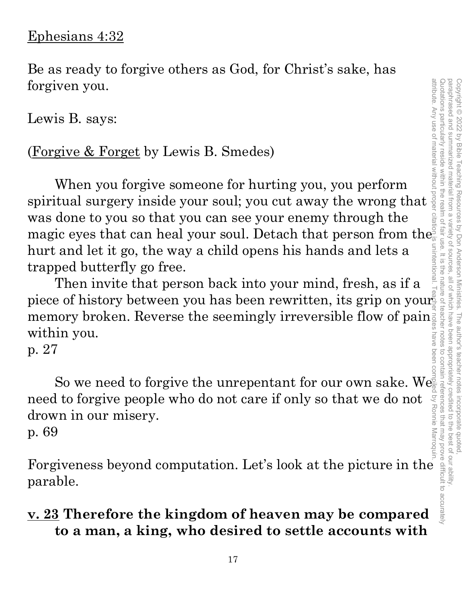#### Ephesians 4:32

Be as ready to forgive others as God, for Christ's sake, has forgiven you.

Lewis B. says:

#### (Forgive & Forget by Lewis B. Smedes)

When you forgive someone for hurting you, you perform spiritual surgery inside your soul; you cut away the wrong that was done to you so that you can see your enemy through the magic eyes that can heal your soul. Detach that person from the hurt and let it go, the way a child opens his hands and lets a trapped butterfly go free.

attribute. Any use of material without proper citation is unintentional. Teacher notes have been compiled by Ronnie Marroquin.unintentional Then invite that person back into your mind, fresh, as if a piece of history between you has been rewritten, its grip on your memory broken. Reverse the seemingly irreversible flow of pain within you.

p. 27

So we need to forgive the unrepentant for our own sake. We need to forgive people who do not care if only so that we do not drown in our misery. need to forgive people who do not care if only so that we do not  $\frac{1}{2}$ <br>drown in our misery.<br>p. 69<br>Forgiveness beyond computation. Let's look at the picture in the

p. 69

parable.

#### **v. 23 Therefore the kingdom of heaven may be compared to a man, a king, who desired to settle accounts with**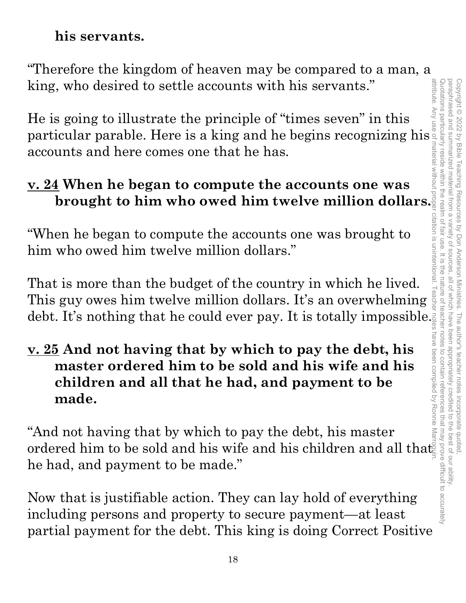#### **his servants.**

"Therefore the kingdom of heaven may be compared to a man, a king, who desired to settle accounts with his servants."

He is going to illustrate the principle of "times seven" in this particular parable. Here is a king and he begins recognizing his accounts and here comes one that he has.

#### **v. 24 When he began to compute the accounts one was brought to him who owed him twelve million dollars.**

"When he began to compute the accounts one was brought to him who owed him twelve million dollars."

That is more than the budget of the country in which he lived. This guy owes him twelve million dollars. It's an overwhelming debt. It's nothing that he could ever pay. It is totally impossible.

#### **v. 25 And not having that by which to pay the debt, his master ordered him to be sold and his wife and his children and all that he had, and payment to be made.**

"And not having that by which to pay the debt, his master ordered him to be sold and his wife and his children and all that he had, and payment to be made."

Now that is justifiable action. They can lay hold of everything including persons and property to secure payment—at least partial payment for the debt. This king is doing Correct Positive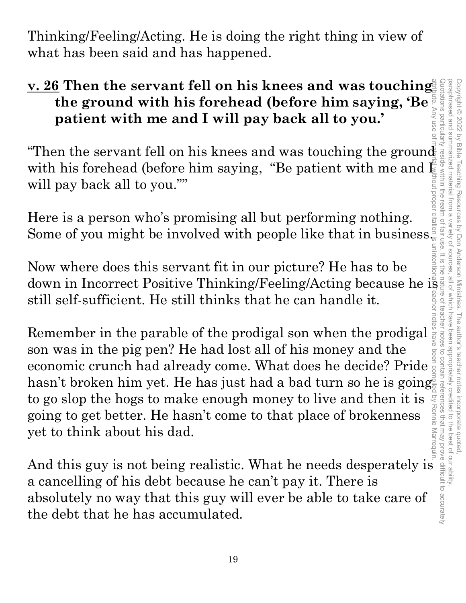attribute. Any use of material without proper citation is unintentional. Teacher notes have been compiled by Ronnie Marroquin.Quotations particular Quotations particularly reside within the realm of fair use. It is the nature of teacher notes to contain references that may prove difficult to accurately paraphrased and paraphrased and summarized material from a variety of sources, all of which have been appropriately credited to the best of our ability. Copyright © 2022 by Bible Teaching Resources Copyright © 2022 by Bible Teaching Resources by Don Anderson Ministries. The author's teacher notes incorporate quoted, summarized material from a variety of sources by Don Anderson Ministries. The author's teacher notes incorporate quoted,<br>ariety of sources, all of which have been appropriately credited to the best of our ability.

Thinking/Feeling/Acting. He is doing the right thing in view of what has been said and has happened.

## **<u>v. 26</u> Then the servant fell on his knees and was touching. the ground with his forehead (before him saying, 'Be patient with me and I will pay back all to you.'**

"Then the servant fell on his knees and was touching the ground<br>with his forehead (before him saying, "Be patient with me and  $\frac{1}{2}$ <br>will pay back all to you.""<br>Here is a person who's promising all but performing pothi with his forehead (before him saying, "Be patient with me and  $\bar{\mathbb{E}}$ will pay back all to you.""

Here is a person who's promising all but performing nothing. Some of you might be involved with people like that in business.

Now where does this servant fit in our picture? He has to be down in Incorrect Positive Thinking/Feeling/Acting because he is still self-sufficient. He still thinks that he can handle it.

Remember in the parable of the prodigal son when the prodigal son was in the pig pen? He had lost all of his money and the economic crunch had already come. What does he decide? Pride hasn't broken him yet. He has just had a bad turn so he is going to go slop the hogs to make enough money to live and then it is Q going to get better. He hasn't come to that place of brokenness yet to think about his dad.

And this guy is not being realistic. What he needs desperately is a cancelling of his debt because he can't pay it. There is absolutely no way that this guy will ever be able to take care of the debt that he has accumulated.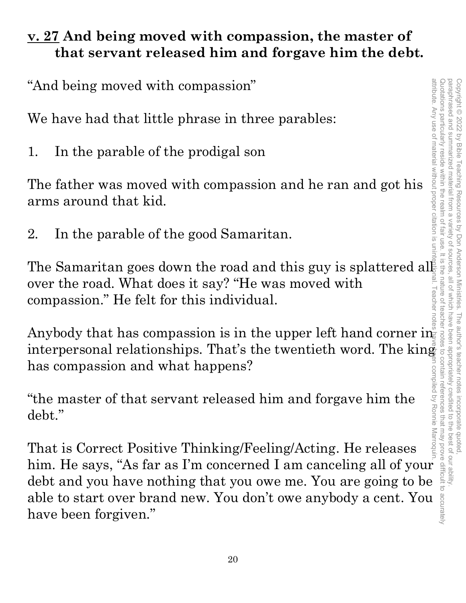#### **v. 27 And being moved with compassion, the master of that servant released him and forgave him the debt.**

"And being moved with compassion"

We have had that little phrase in three parables:

1. In the parable of the prodigal son

The father was moved with compassion and he ran and got his arms around that kid.

2. In the parable of the good Samaritan.

over the road. What does it say? "He was moved with compassion." He felt for this individual.

Anybody that has compassion is in the upper left hand corner in  $\mathbb{R}^n$ interpersonal relationships. That's the twentieth word. The king has compassion and what happens?

"the master of that servant released him and forgave him the debt."

The Samaritan goes down the road and this guy is splattered all<br>over the road. What does it say? "He was moved with<br>compassion." He felt for this individual.<br>Anybody that has compassion is in the upper left hand corner in That is Correct Positive Thinking/Feeling/Acting. He releases has compassion and what happens?<br>
"the master of that servant released him and forgave him the debt."<br>
That is Correct Positive Thinking/Feeling/Acting. He releases him. He says, "As far as I'm concerned I am canceling al debt and you have nothing that you owe me. You are going to be able to start over brand new. You don't owe anybody a cent. You have been forgiven."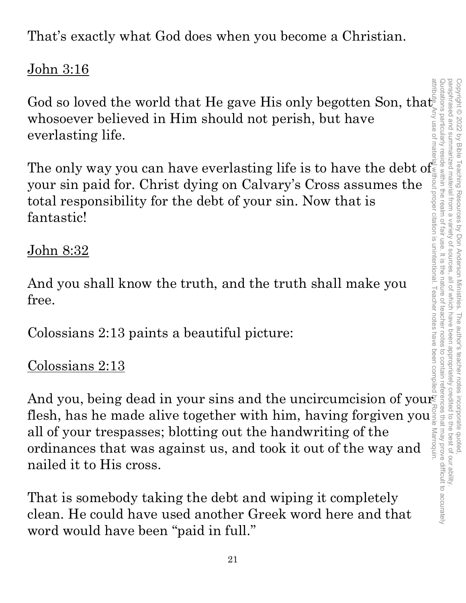That's exactly what God does when you become a Christian.

## John 3:16

God so loved the world that He gave His only begotten Son, that whosoever believed in Him should not perish, but have everlasting life. attribute. Any use of material without proper citation is unintentional. Teacher notes have been compiled by Ronnie Marroquin.

The only way you can have everlasting life is to have the debt of your sin paid for. Christ dying on Calvary's Cross assumes the total responsibility for the debt of your sin. Now that is fantastic!

## John 8:32

And you shall know the truth, and the truth shall make you free.

Colossians 2:13 paints a beautiful picture:

## Colossians 2:13

And you, being dead in your sins and the uncircumcision of your flesh, has he made alive together with him, having forgiven you<sup>s</sup><br>all of your trespasses; blotting out the handwriting of the flesh, has he made alive together with him, having forgiven you Marroquin ordinances that was against us, and took it out of the way and nailed it to His cross.

That is somebody taking the debt and wiping it completely clean. He could have used another Greek word here and that word would have been "paid in full."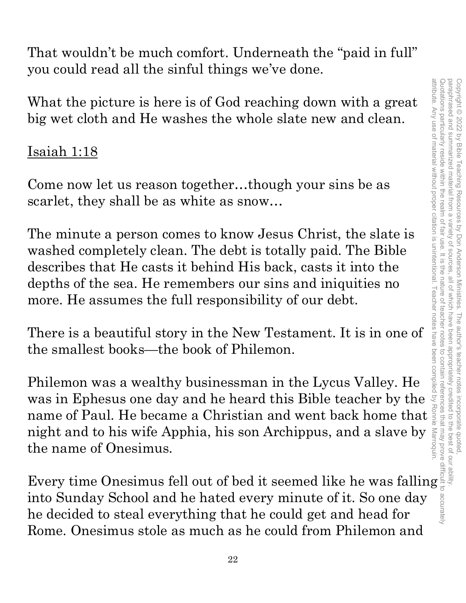That wouldn't be much comfort. Underneath the "paid in full" you could read all the sinful things we've done.

What the picture is here is of God reaching down with a great big wet cloth and He washes the whole slate new and clean.

#### Isaiah 1:18

Come now let us reason together…though your sins be as scarlet, they shall be as white as snow…

The minute a person comes to know Jesus Christ, the slate is washed completely clean. The debt is totally paid. The Bible describes that He casts it behind His back, casts it into the depths of the sea. He remembers our sins and iniquities no more. He assumes the full responsibility of our debt.

There is a beautiful story in the New Testament. It is in one of the smallest books—the book of Philemon.

Philemon was a wealthy businessman in the Lycus Valley. He was in Ephesus one day and he heard this Bible teacher by the What the picture is here is of God reaching down with a great<br>big wet cloth and He washes the whole slate new and clean.<br>
Isaiah 1:18<br>
Come now let us reason together...though your sins be as<br>
scarlet, they shall be as wh night and to his wife Apphia, his son Archippus, and a slave by the name of Onesimus. What the picture is here is of God reaching down with a great<br>big wet cloth and He washes the whole slate new and clean.<br>
Isaiah 1:18<br>
Come now let us reason together...though your sins be as<br>
scarlet, they shall be as wh

into Sunday School and he hated every minute of it. So one day he decided to steal everything that he could get and head for Rome. Onesimus stole as much as he could from Philemon and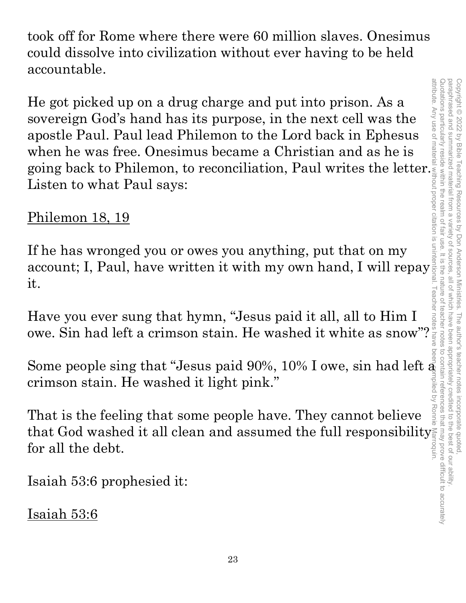took off for Rome where there were 60 million slaves. Onesimus could dissolve into civilization without ever having to be held accountable.

He got picked up on a drug charge and put into prison. As a sovereign God's hand has its purpose, in the next cell was the apostle Paul. Paul lead Philemon to the Lord back in Ephesus when he was free. Onesimus became a Christian and as he is He got picked up on a drug charge and put into prison. As a<br>sovereign God's hand has its purpose, in the next cell was the<br>apostle Paul. Paul lead Philemon to the Lord back in Ephesus<br>when he was free. Onesimus became a C Listen to what Paul says:

## Philemon 18, 19

If he has wronged you or owes you anything, put that on my account; I, Paul, have written it with my own hand, I will repay it.

Have you ever sung that hymn, "Jesus paid it all, all to Him I owe. Sin had left a crimson stain. He washed it white as snow"?

Some people sing that "Jesus paid 90%, 10% I owe, sin had left  $\bar{\mathfrak{g}}$ crimson stain. He washed it light pink."

That is the feeling that some people have. They cannot believe that God washed it all clean and assumed the full responsibility for all the debt.

Isaiah 53:6 prophesied it:

Isaiah 53:6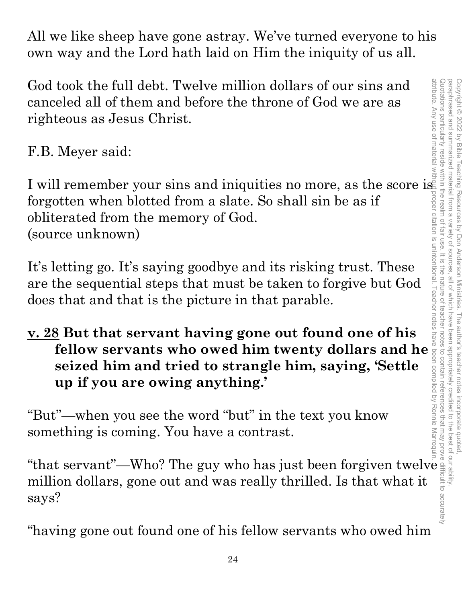All we like sheep have gone astray. We've turned everyone to his own way and the Lord hath laid on Him the iniquity of us all.

God took the full debt. Twelve million dollars of our sins and canceled all of them and before the throne of God we are as righteous as Jesus Christ.

F.B. Meyer said:

I will remember your sins and iniquities no more, as the score is forgotten when blotted from a slate. So shall sin be as if obliterated from the memory of God. (source unknown)

It's letting go. It's saying goodbye and its risking trust. These are the sequential steps that must be taken to forgive but God does that and that is the picture in that parable.

## **v. 28 But that servant having gone out found one of his fellow servants who owed him twenty dollars and he seized him and tried to strangle him, saying, 'Settle up if you are owing anything.'**

"But"—when you see the word "but" in the text you know something is coming. You have a contrast.

"that servant"—Who? The guy who has just been forgiven twelve million dollars, gone out and was really thrilled. Is that what it says?

"having gone out found one of his fellow servants who owed him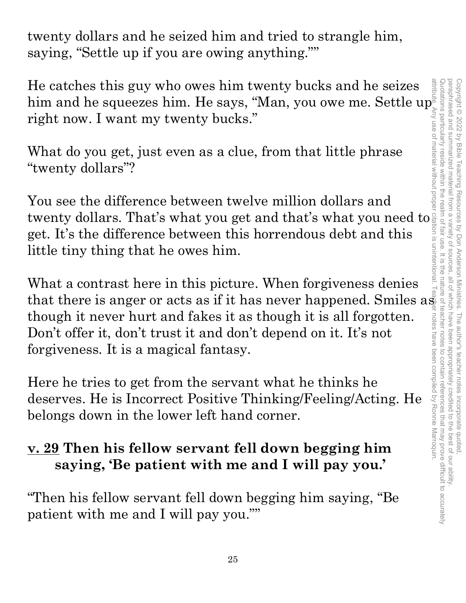twenty dollars and he seized him and tried to strangle him, saying, "Settle up if you are owing anything.""

He catches this guy who owes him twenty bucks and he seizes him and he squeezes him. He says, "Man, you owe me. Settle up right now. I want my twenty bucks."

What do you get, just even as a clue, from that little phrase "twenty dollars"?

You see the difference between twelve million dollars and twenty dollars. That's what you get and that's what you need to get. It's the difference between this horrendous debt and this little tiny thing that he owes him.

What a contrast here in this picture. When forgiveness denies that there is anger or acts as if it has never happened. Smiles  $a\ddot{\hat{s}}$ though it never hurt and fakes it as though it is all forgotten. Don't offer it, don't trust it and don't depend on it. It's not forgiveness. It is a magical fantasy.

Here he tries to get from the servant what he thinks he deserves. He is Incorrect Positive Thinking/Feeling/Acting. He belongs down in the lower left hand corner.

## **v. 29 Then his fellow servant fell down begging him saying, 'Be patient with me and I will pay you.'**

"Then his fellow servant fell down begging him saying, "Be patient with me and I will pay you.""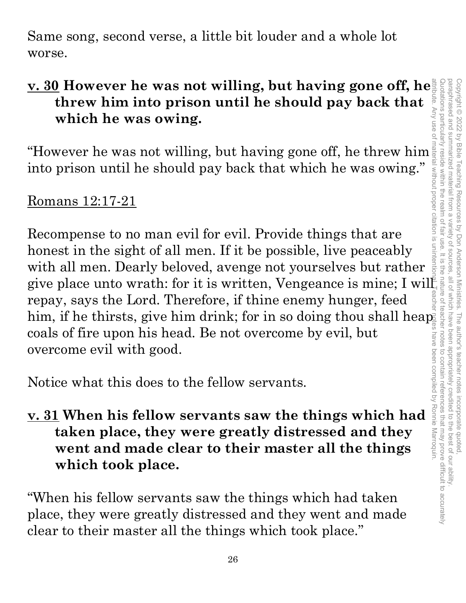Same song, second verse, a little bit louder and a whole lot worse.

## **v. 30 However he was not willing, but having gone off, he threw him into prison until he should pay back that which he was owing.**

"However he was not willing, but having gone off, he threw him into prison until he should pay back that which he was owing."

#### Romans 12:17-21

Recompense to no man evil for evil. Provide things that are honest in the sight of all men. If it be possible, live peaceably with all men. Dearly beloved, avenge not yourselves but rather give place unto wrath: for it is written, Vengeance is mine; I will repay, says the Lord. Therefore, if thine enemy hunger, feed him, if he thirsts, give him drink; for in so doing thou shall heap coals of fire upon his head. Be not overcome by evil, but overcome evil with good.

Notice what this does to the fellow servants.

## **v. 31 When his fellow servants saw the things which had taken place, they were greatly distressed and they went and made clear to their master all the things which took place.**

"When his fellow servants saw the things which had taken place, they were greatly distressed and they went and made clear to their master all the things which took place."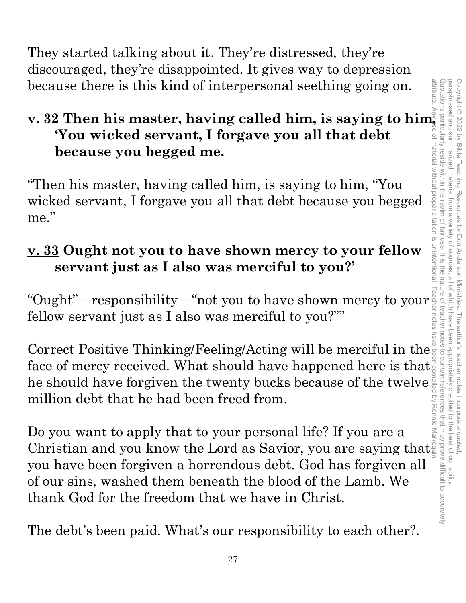They started talking about it. They're distressed, they're discouraged, they're disappointed. It gives way to depression because there is this kind of interpersonal seething going on.

#### **v. 32 Then his master, having called him, is saying to him, 'You wicked servant, I forgave you all that debt because you begged me.**

"Then his master, having called him, is saying to him, "You wicked servant, I forgave you all that debt because you begged me."

## **v. 33 Ought not you to have shown mercy to your fellow servant just as I also was merciful to you?'**

"Ought"—responsibility—"not you to have shown mercy to your  $\frac{1}{2}$ <br>fellow servant just as I also was merciful to you?"" fellow servant just as I also was merciful to you?""

Correct Positive Thinking/Feeling/Acting will be merciful in the  $\frac{1}{8}$ face of mercy received. What should have happened here is that. he should have forgiven the twenty bucks because of the twelve  $\frac{3}{8}$  million debt that he had been freed from. million debt that he had been freed from.

Do you want to apply that to your personal life? If you are a Christian and you know the Lord as Savior, you are saying that you have been forgiven a horrendous debt. God has forgiven all of our sins, washed them beneath the blood of the Lamb. We thank God for the freedom that we have in Christ.

The debt's been paid. What's our responsibility to each other?.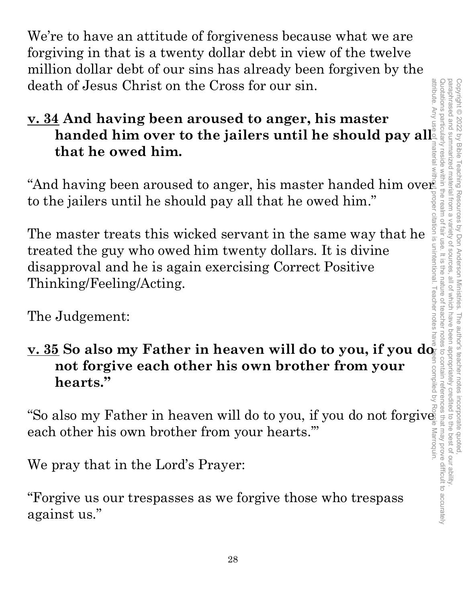We're to have an attitude of forgiveness because what we are forgiving in that is a twenty dollar debt in view of the twelve million dollar debt of our sins has already been forgiven by the death of Jesus Christ on the Cross for our sin.

# **v. 34 And having been aroused to anger, his master**  handed him over to the jailers until he should pay all<br>
that he owed him. **that he owed him.**

to the jailers until he should pay all that he owed him."

"And having been aroused to anger, his master handed him over<br>to the jailers until he should pay all that he owed him."<br>The master treats this wicked servant in the same way that he<br>streated the guy who owed him twenty do The master treats this wicked servant in the same way that he treated the guy who owed him twenty dollars. It is divine disapproval and he is again exercising Correct Positive Thinking/Feeling/Acting.

The Judgement:

## <u>v. 35</u> So also my Father in heaven will do to you, if you do  $\frac{1}{2}$ **not forgive each other his own brother from your hearts."**

"So also my Father in heaven will do to you, if you do not forgive each other his own brother from your hearts.'"

We pray that in the Lord's Prayer:

"Forgive us our trespasses as we forgive those who trespass against us."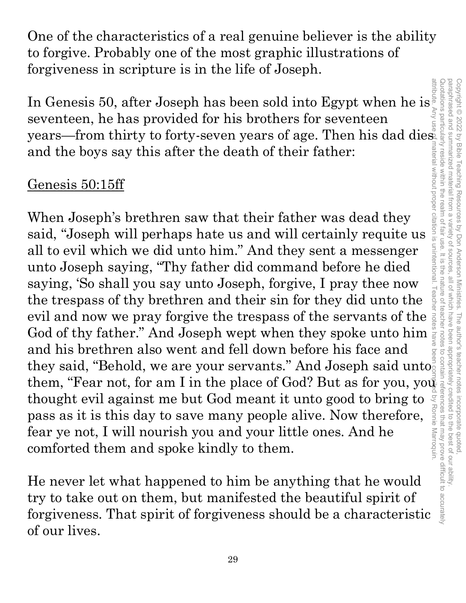One of the characteristics of a real genuine believer is the ability to forgive. Probably one of the most graphic illustrations of forgiveness in scripture is in the life of Joseph.

In Genesis 50, after Joseph has been sold into Egypt when he is seventeen, he has provided for his brothers for seventeen seventeen, he has provided for his brothers for seventeen and the boys say this after the death of their father:

#### Genesis 50:15ff

In Genesis 50, after Joseph has been sold into Egypt when he is<br>seventeen, he has provided for his horbiers for seventeen<br>years—from thirty to forty-seven years of age. Then his dad dies<br>and the boys say this after the de When Joseph's brethren saw that their father was dead they said, "Joseph will perhaps hate us and will certainly requite us all to evil which we did unto him." And they sent a messenger unto Joseph saying, "Thy father did command before he died saying, 'So shall you say unto Joseph, forgive, I pray thee now the trespass of thy brethren and their sin for they did unto the evil and now we pray forgive the trespass of the servants of the God of thy father." And Joseph wept when they spoke unto him and his brethren also went and fell down before his face and they said, "Behold, we are your servants." And Joseph said unto them, "Fear not, for am I in the place of God? But as for you, youth thought evil against me but God meant it unto good to bring to **S** Ronnie Marroquin pass as it is this day to save many people alive. Now therefore, fear ye not, I will nourish you and your little ones. And he comforted them and spoke kindly to them.

He never let what happened to him be anything that he would try to take out on them, but manifested the beautiful spirit of forgiveness. That spirit of forgiveness should be a characteristic of our lives.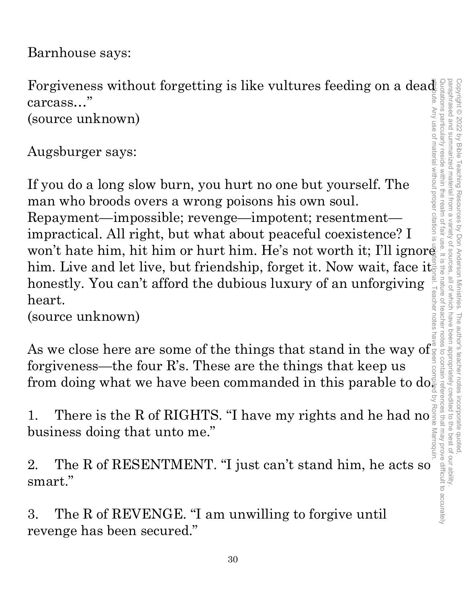Barnhouse says:

Forgiveness without forgetting is like vultures feeding on a dead carcass…" attribute. Any use of material without proper citation is unintentional. Teacher notes have been compiled by Ronnie Marroquin.

(source unknown)

Augsburger says:

If you do a long slow burn, you hurt no one but yourself. The man who broods overs a wrong poisons his own soul. Repayment—impossible; revenge—impotent; resentment impractical. All right, but what about peaceful coexistence? I won't hate him, hit him or hurt him. He's not worth it; I'll ignore carcass..."<br>
(source unknown)<br>
Augsburger says:<br>
If you do a long slow burn, you hurt no one but yourself. The<br>
man who broods overs a wrong poisons his own soul.<br>
Repayment—impossible; revenge—impotent; resentment—<br>
impr honestly. You can't afford the dubious luxury of an unforgiving heart.

(source unknown)

As we close here are some of the things that stand in the way of forgiveness—the four R's. These are the things that keep us from doing what we have been commanded in this parable to do $\frac{1}{6}$ 

1. There is the R of RIGHTS. "I have my rights and he had no<sup>1</sup><br>business doing that unto me." business doing that unto me."

2. The R of RESENTMENT. "I just can't stand him, he acts so smart."

3. The R of REVENGE. "I am unwilling to forgive until revenge has been secured."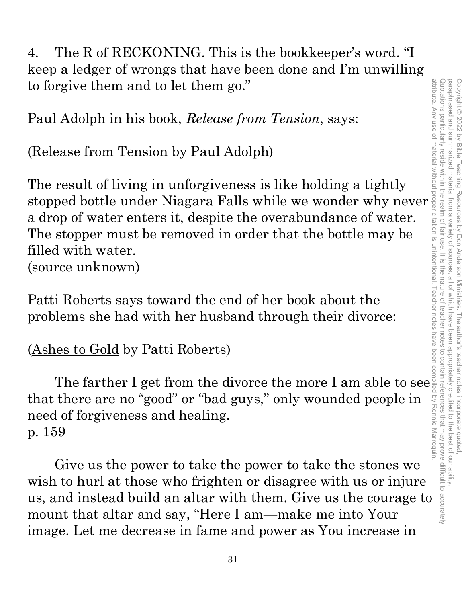4. The R of RECKONING. This is the bookkeeper's word. "I keep a ledger of wrongs that have been done and I'm unwilling to forgive them and to let them go."

Paul Adolph in his book, *Release from Tension*, says:

(Release from Tension by Paul Adolph)

The result of living in unforgiveness is like holding a tightly stopped bottle under Niagara Falls while we wonder why never a drop of water enters it, despite the overabundance of water. The stopper must be removed in order that the bottle may be filled with water. (source unknown)

Patti Roberts says toward the end of her book about the problems she had with her husband through their divorce:

(Ashes to Gold by Patti Roberts)

The farther I get from the divorce the more I am able to see that there are no "good" or "bad guys," only wounded people in need of forgiveness and healing. p. 159

Give us the power to take the power to take the stones we wish to hurl at those who frighten or disagree with us or injure us, and instead build an altar with them. Give us the courage to mount that altar and say, "Here I am—make me into Your image. Let me decrease in fame and power as You increase in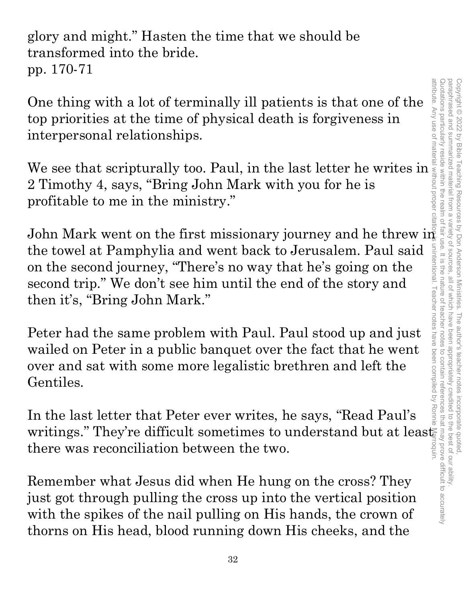paraphrased and summarized material from a attribute. Any use of material without proper citation is unintentional. Teacher notes have been compiled by Ronnie Marroquin.Quotations particularly reside within the realm of fair use. It is the nature of teacher notes to contain references that may prove difficult to accurately paraphrased and summarized material from a variety of sources, all of which have been appropriately credited to the best of our ability. Copyright © 2022 by Bible Teaching Resources Copyright © 2022 by Bible Teaching Resources by Don Anderson Ministries. The author's teacher notes incorporate quoted, variety of sources. by Don Anderson Ministries. The author's teacher notes incorporate quoted , all of which have been appropriately credited to the best of our ability

glory and might." Hasten the time that we should be transformed into the bride. pp. 170-71

One thing with a lot of terminally ill patients is that one of the top priorities at the time of physical death is forgiveness in interpersonal relationships.

We see that scripturally too. Paul, in the last letter he writes in 2 Timothy 4, says, "Bring John Mark with you for he is profitable to me in the ministry."

John Mark went on the first missionary journey and he threw in the towel at Pamphylia and went back to Jerusalem. Paul said on the second journey, "There's no way that he's going on the second trip." We don't see him until the end of the story and then it's, "Bring John Mark."

Peter had the same problem with Paul. Paul stood up and just wailed on Peter in a public banquet over the fact that he went over and sat with some more legalistic brethren and left the Gentiles.

In the last letter that Peter ever writes, he says, "Read Paul's writings." They're difficult sometimes to understand but at least there was reconciliation between the two.

Remember what Jesus did when He hung on the cross? They just got through pulling the cross up into the vertical position with the spikes of the nail pulling on His hands, the crown of thorns on His head, blood running down His cheeks, and the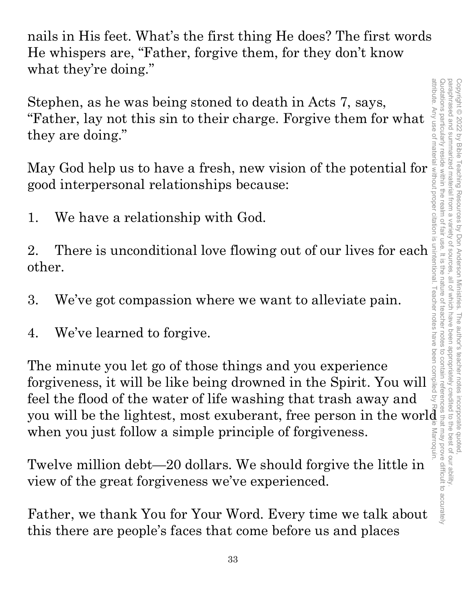paraphrased and summarized material from attribute. Any use of material without proper citation is unintentional. Teacher notes have been compiled by Ronnie Marroquin.attribute. Quotations particularly reside within the realm of Quotations particularly reside within the realm of fair use. It is the nature of teacher notes to contain references that may prove difficult to accurately paraphrased and summarized material from a variety of sources, all of which have been appropriately credited to the best of our ability. Copyright @ 2022 by Bible Copyright © 2022 by Bible Teaching Resources by Don Anderson Ministries. The author's teacher notes incorporate quoted, Teaching Resources  $\overline{\omega}$ variety of by Don Anderson Ministries. The author's teacher notes incorporate quoted sources all of which have been appropriately credited to the best of our ability Marroquir

nails in His feet. What's the first thing He does? The first words He whispers are, "Father, forgive them, for they don't know what they're doing."

Stephen, as he was being stoned to death in Acts 7, says, "Father, lay not this sin to their charge. Forgive them for what they are doing."

good interpersonal relationships because:

1. We have a relationship with God.

2. There is unconditional love flowing out of our lives for each other.

3. We've got compassion where we want to alleviate pain.

4. We've learned to forgive.

Exther, lay not this sin to their charge. Forgive them for what<br>
they are doing."<br>
May God help us to have a fresh, new vision of the potential for<br>
good interpersonal relationships because:<br>
1. We have a relationship wit The minute you let go of those things and you experience forgiveness, it will be like being drowned in the Spirit. You will feel the flood of the water of life washing that trash away and 2. There is unconditional love flowing out of our lives for each signature.<br>
3. We've got compassion where we want to alleviate pain.<br>
4. We've learned to forgive.<br>
4. We've learned to forgive.<br>
The minute you let go of t when you just follow a simple principle of forgiveness.

Twelve million debt—20 dollars. We should forgive the little in view of the great forgiveness we've experienced.

Father, we thank You for Your Word. Every time we talk about this there are people's faces that come before us and places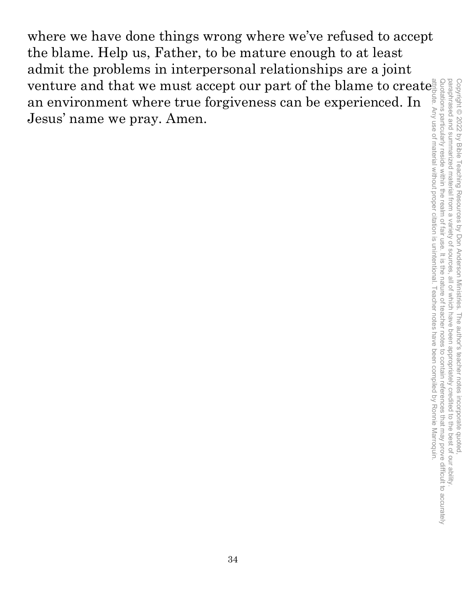where we have done things wrong where we've refused to accept the blame. Help us, Father, to be mature enough to at least admit the problems in interpersonal relationships are a joint venture and that we must accept our part of the blame to create an environment where true forgiveness can be experienced. In Jesus' name we pray. Amen. attribute. Any use of material without proper citation is unintentional. Teacher notes have been compiled by Ronnie Marroquin.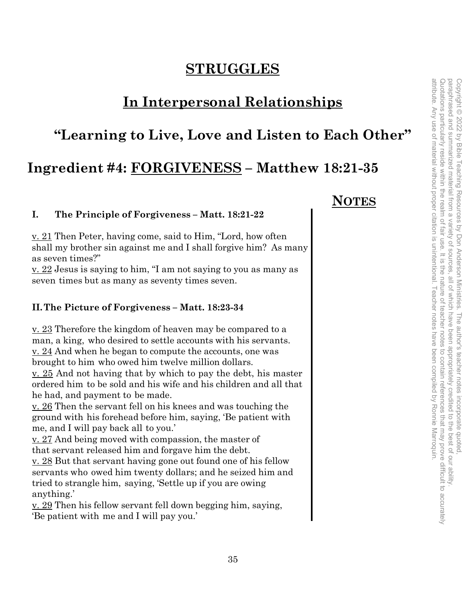#### **STRUGGLES**

#### **In Interpersonal Relationships**

#### **"Learning to Live, Love and Listen to Each Other"**

#### **Ingredient #4: FORGIVENESS – Matthew 18:21-35**

#### **I. The Principle of Forgiveness – Matt. 18:21-22**

v. 21 Then Peter, having come, said to Him, "Lord, how often shall my brother sin against me and I shall forgive him? As many as seven times?"

v. 22 Jesus is saying to him, "I am not saying to you as many as seven times but as many as seventy times seven.

#### **II.The Picture of Forgiveness – Matt. 18:23-34**

v. 23 Therefore the kingdom of heaven may be compared to a man, a king, who desired to settle accounts with his servants. v. 24 And when he began to compute the accounts, one was brought to him who owed him twelve million dollars.

v. 25 And not having that by which to pay the debt, his master ordered him to be sold and his wife and his children and all that he had, and payment to be made.

v. 26 Then the servant fell on his knees and was touching the ground with his forehead before him, saying, 'Be patient with me, and I will pay back all to you.'

v. 27 And being moved with compassion, the master of that servant released him and forgave him the debt.

v. 28 But that servant having gone out found one of his fellow servants who owed him twenty dollars; and he seized him and tried to strangle him, saying, 'Settle up if you are owing anything.'

v. 29 Then his fellow servant fell down begging him, saying, 'Be patient with me and I will pay you.'

#### **NOTES**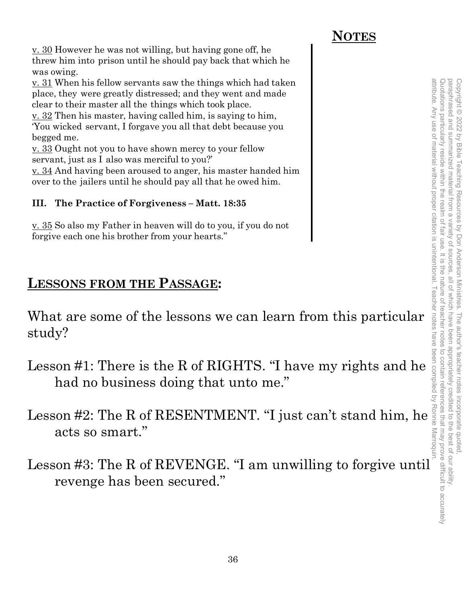v. 30 However he was not willing, but having gone off, he threw him into prison until he should pay back that which he was owing.

v. 31 When his fellow servants saw the things which had taken place, they were greatly distressed; and they went and made clear to their master all the things which took place.

v. 32 Then his master, having called him, is saying to him, 'You wicked servant, I forgave you all that debt because you begged me.

v. 33 Ought not you to have shown mercy to your fellow servant, just as I also was merciful to you?'

v. 34 And having been aroused to anger, his master handed him over to the jailers until he should pay all that he owed him.

#### **III. The Practice of Forgiveness – Matt. 18:35**

v. 35 So also my Father in heaven will do to you, if you do not forgive each one his brother from your hearts."

#### **LESSONS FROM THE PASSAGE:**

What are some of the lessons we can learn from this particular study?

- had no business doing that unto me."
- 2.11 When his fellow servents saw the thing which had taken<br>
place, they were greatly distressed, and they went and make<br>
clear to their master all the things which took place.<br>  $\frac{V \cdot B}{V}$  ou wided servant, I forgave yo Lesson #2: The R of RESENTMENT. "I just can't stand him, he acts so smart."
- Lesson #3: The R of REVENGE. "I am unwilling to forgive until revenge has been secured."